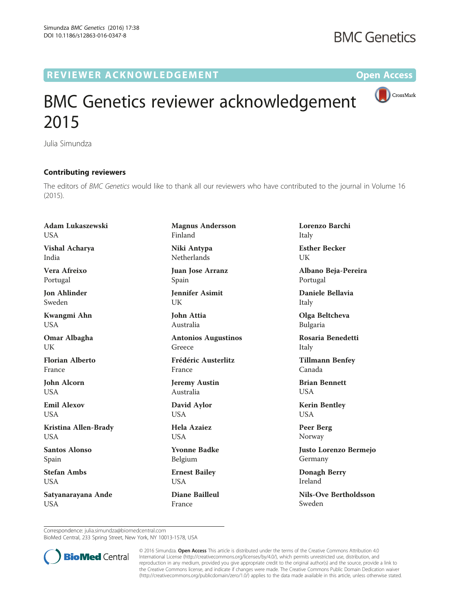## R EVI EW E R ACKNOW L EDG EM EN T Op[en](http://crossmark.crossref.org/dialog/?doi=10.1186/s12863-016-0347-8&domain=pdf) [Access](http://crossmark.crossref.org/dialog/?doi=10.1186/s12863-016-0347-8&domain=pdf)



CrossMark

## BMC Genetics reviewer acknowledgement 2015

Julia Simundza

## Contributing reviewers

The editors of BMC Genetics would like to thank all our reviewers who have contributed to the journal in Volume 16 (2015).

Adam Lukaszewski **USA** 

Vishal Acharya India

Vera Afreixo Portugal

Jon Ahlinder Sweden

Kwangmi Ahn USA

Omar Albagha UK

Florian Alberto France

John Alcorn USA

Emil Alexov **USA** 

Kristina Allen-Brady **USA** 

Santos Alonso Spain

Stefan Ambs USA

Satyanarayana Ande **USA** 

Magnus Andersson Finland Niki Antypa

Netherlands

Juan Jose Arranz Spain

Jennifer Asimit UK

John Attia Australia

Antonios Augustinos Greece

Frédéric Austerlitz France

Jeremy Austin Australia

David Aylor USA

Hela Azaiez **USA** 

Yvonne Badke Belgium

Ernest Bailey USA

Diane Bailleul France

Lorenzo Barchi Italy Esther Becker

UK

Albano Beja-Pereira Portugal

Daniele Bellavia Italy

Olga Beltcheva Bulgaria

Rosaria Benedetti Italy

Tillmann Benfey Canada

Brian Bennett **I** ISA

Kerin Bentley USA

Peer Berg Norway

Justo Lorenzo Bermejo Germany

Donagh Berry Ireland

Nils-Ove Bertholdsson Sweden

Correspondence: [julia.simundza@biomedcentral.com](mailto:julia.simundza@biomedcentral.com)

BioMed Central, 233 Spring Street, New York, NY 10013-1578, USA



© 2016 Simundza. Open Access This article is distributed under the terms of the Creative Commons Attribution 4.0 International License [\(http://creativecommons.org/licenses/by/4.0/](http://creativecommons.org/licenses/by/4.0/)), which permits unrestricted use, distribution, and reproduction in any medium, provided you give appropriate credit to the original author(s) and the source, provide a link to the Creative Commons license, and indicate if changes were made. The Creative Commons Public Domain Dedication waiver [\(http://creativecommons.org/publicdomain/zero/1.0/](http://creativecommons.org/publicdomain/zero/1.0/)) applies to the data made available in this article, unless otherwise stated.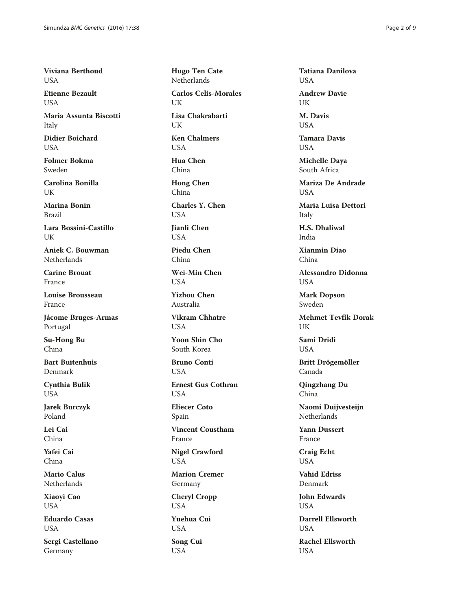Viviana Berthoud **USA** 

Etienne Bezault **USA** 

Maria Assunta Biscotti Italy

Didier Boichard **USA** 

Folmer Bokma Sweden

Carolina Bonilla UK

Marina Bonin Brazil

Lara Bossini-Castillo UK

Aniek C. Bouwman Netherlands

Carine Brouat France

Louise Brousseau France

Jácome Bruges-Armas Portugal

Su-Hong Bu China

Bart Buitenhuis Denmark

Cynthia Bulik **USA** 

Jarek Burczyk Poland

Lei Cai China

Yafei Cai China

Mario Calus Netherlands

Xiaoyi Cao USA

Eduardo Casas **USA** 

Sergi Castellano Germany

Hugo Ten Cate **Netherlands** 

Carlos Celis-Morales UK

Lisa Chakrabarti UK

Ken Chalmers USA

Hua Chen China

Hong Chen China

Charles Y. Chen **USA** 

Jianli Chen USA

Piedu Chen China

Wei-Min Chen **USA** 

Yizhou Chen Australia

Vikram Chhatre **USA** 

Yoon Shin Cho South Korea

Bruno Conti **USA** 

Ernest Gus Cothran **USA** 

Eliecer Coto Spain

Vincent Coustham France

Nigel Crawford USA

Marion Cremer Germany

Cheryl Cropp USA

Yuehua Cui USA

Song Cui USA

Tatiana Danilova **USA** 

Andrew Davie UK

M. Davis **USA** 

Tamara Davis **USA** 

Michelle Daya South Africa

Mariza De Andrade **USA** 

Maria Luisa Dettori Italy

H.S. Dhaliwal India

Xianmin Diao China

Alessandro Didonna **USA** 

Mark Dopson Sweden

Mehmet Tevfik Dorak UK

Sami Dridi **USA** 

Britt Drögemöller Canada

Qingzhang Du China

Naomi Duijvesteijn **Netherlands** 

Yann Dussert France

Craig Echt USA

Vahid Edriss Denmark

John Edwards **USA** 

Darrell Ellsworth **USA** 

Rachel Ellsworth **USA**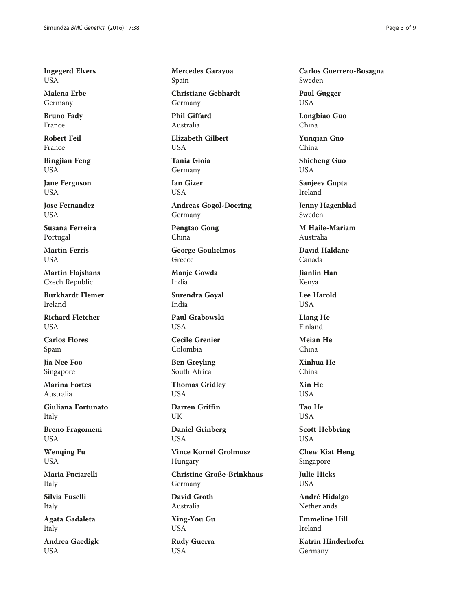Ingegerd Elvers USA

Malena Erbe Germany

Bruno Fady France

Robert Feil France

Bingjian Feng USA

Jane Ferguson USA

Jose Fernandez **USA** 

Susana Ferreira Portugal

Martin Ferris USA

Martin Flajshans Czech Republic

Burkhardt Flemer Ireland

Richard Fletcher **USA** 

Carlos Flores Spain

Jia Nee Foo Singapore

Marina Fortes Australia

Giuliana Fortunato Italy

Breno Fragomeni USA

Wenqing Fu USA

Maria Fuciarelli Italy

Silvia Fuselli Italy

Agata Gadaleta Italy

Andrea Gaedigk **USA** 

Mercedes Garayoa Spain

Christiane Gebhardt Germany

Phil Giffard Australia

Elizabeth Gilbert **USA** 

Tania Gioia Germany

Ian Gizer **USA** 

Andreas Gogol-Doering Germany

Pengtao Gong China

George Goulielmos Greece

Manje Gowda India

Surendra Goyal India

Paul Grabowski **USA** 

Cecile Grenier Colombia

Ben Greyling South Africa

Thomas Gridley USA

Darren Griffin UK

Daniel Grinberg USA

Vince Kornél Grolmusz Hungary

Christine Große-Brinkhaus Germany

David Groth Australia

Xing-You Gu USA

Rudy Guerra USA

Carlos Guerrero-Bosagna Sweden

Paul Gugger USA

Longbiao Guo China

Yunqian Guo China

Shicheng Guo USA

Sanjeev Gupta Ireland

Jenny Hagenblad Sweden

M Haile-Mariam Australia

David Haldane Canada

Jianlin Han Kenya

Lee Harold USA

Liang He Finland

Meian He China

Xinhua He China

Xin He **USA** 

Tao He USA

Scott Hebbring USA

Chew Kiat Heng Singapore

Julie Hicks USA

André Hidalgo Netherlands

Emmeline Hill Ireland

Katrin Hinderhofer Germany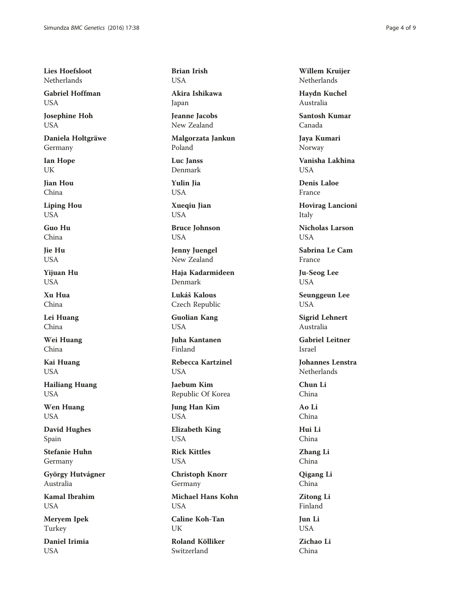Lies Hoefsloot Netherlands

Gabriel Hoffman **USA** 

Josephine Hoh USA

Daniela Holtgräwe Germany

Ian Hope UK

Jian Hou China

Liping Hou USA

Guo Hu China

Jie Hu USA

Yijuan Hu **USA** 

Xu Hua China

Lei Huang China

Wei Huang China

Kai Huang USA

Hailiang Huang USA

Wen Huang USA

David Hughes Spain

Stefanie Huhn Germany

György Hutvágner Australia

Kamal Ibrahim USA

Meryem Ipek Turkey

Daniel Irimia **USA** 

Brian Irish **USA** 

Akira Ishikawa Japan

Jeanne Jacobs New Zealand

Malgorzata Jankun Poland

Luc Janss Denmark

Yulin Jia **USA** 

Xueqiu Jian USA

Bruce Johnson USA

Jenny Juengel New Zealand

Haja Kadarmideen Denmark

Lukáš Kalous Czech Republic

Guolian Kang USA

Juha Kantanen Finland

Rebecca Kartzinel USA

Jaebum Kim Republic Of Korea

Jung Han Kim USA

Elizabeth King USA

Rick Kittles USA

Christoph Knorr Germany

Michael Hans Kohn **USA** 

Caline Koh-Tan UK

Roland Kölliker Switzerland

Willem Kruijer Netherlands

Haydn Kuchel Australia

Santosh Kumar Canada

Jaya Kumari Norway

Vanisha Lakhina **USA** 

Denis Laloe France

Hovirag Lancioni Italy

Nicholas Larson **USA** 

Sabrina Le Cam France

Ju-Seog Lee USA

Seunggeun Lee USA

Sigrid Lehnert Australia

Gabriel Leitner Israel

Johannes Lenstra Netherlands

Chun Li China

Ao Li China

Hui Li China

Zhang Li China

Qigang Li China

Zitong Li Finland

Jun Li USA

Zichao Li China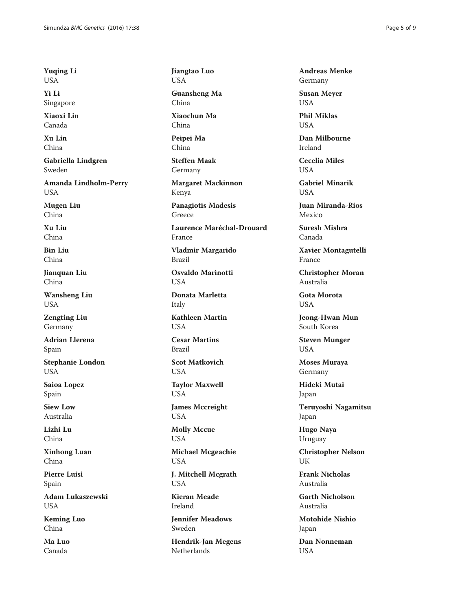Yuqing Li USA

Yi Li Singapore

Xiaoxi Lin Canada

Xu Lin China

Gabriella Lindgren Sweden

Amanda Lindholm-Perry USA

Mugen Liu China

Xu Liu China

Bin Liu China

Jianquan Liu China

Wansheng Liu USA

Zengting Liu Germany

Adrian Llerena Spain

Stephanie London USA

Saioa Lopez Spain

Siew Low Australia

Lizhi Lu China

Xinhong Luan China

Pierre Luisi Spain

Adam Lukaszewski USA

Keming Luo China

Ma Luo Canada

Jiangtao Luo USA Guansheng Ma China Xiaochun Ma China Peipei Ma China Steffen Maak Germany Margaret Mackinnon Kenya Panagiotis Madesis Greece Laurence Maréchal-Drouard France Vladmir Margarido Brazil Osvaldo Marinotti **USA** Donata Marletta Italy Kathleen Martin **USA** Cesar Martins Brazil Scot Matkovich USA Taylor Maxwell USA James Mccreight USA Molly Mccue USA Michael Mcgeachie USA J. Mitchell Mcgrath **USA** Kieran Meade Ireland Jennifer Meadows Sweden

Hendrik-Jan Megens Netherlands

Andreas Menke Germany

Susan Meyer USA

Phil Miklas **USA** 

Dan Milbourne Ireland

Cecelia Miles **USA** 

Gabriel Minarik **USA** 

Juan Miranda-Rios Mexico

Suresh Mishra Canada

Xavier Montagutelli France

Christopher Moran Australia

Gota Morota USA

Jeong-Hwan Mun South Korea

Steven Munger USA

Moses Muraya Germany

Hideki Mutai Japan

Teruyoshi Nagamitsu Japan

Hugo Naya Uruguay

Christopher Nelson UK

Frank Nicholas Australia

Garth Nicholson Australia

Motohide Nishio Japan

Dan Nonneman **USA**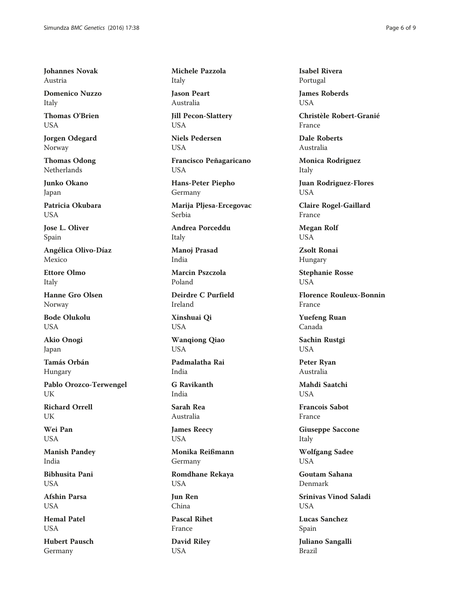Johannes Novak Austria

Domenico Nuzzo Italy

Thomas O'Brien USA

Jorgen Odegard Norway

Thomas Odong Netherlands

Junko Okano Japan

Patricia Okubara **USA** 

Jose L. Oliver Spain

Angélica Olivo-Díaz Mexico

Ettore Olmo Italy

Hanne Gro Olsen Norway

Bode Olukolu USA

Akio Onogi Japan

Tamás Orbán Hungary

Pablo Orozco-Terwengel UK

Richard Orrell **UK** 

Wei Pan **USA** 

Manish Pandey India

Bibhusita Pani **USA** 

Afshin Parsa **USA** 

Hemal Patel **USA** 

Hubert Pausch Germany

Michele Pazzola Italy

Jason Peart Australia

Jill Pecon-Slattery **USA** 

Niels Pedersen USA

Francisco Peñagaricano USA

Hans-Peter Piepho Germany

Marija Pljesa-Ercegovac Serbia

Andrea Porceddu Italy

Manoj Prasad India

Marcin Pszczola Poland

Deirdre C Purfield Ireland

Xinshuai Qi USA

Wanqiong Qiao USA

Padmalatha Rai India

G Ravikanth India

Sarah Rea Australia

James Reecy USA

Monika Reißmann Germany

Romdhane Rekaya USA

Jun Ren China

Pascal Rihet France David Riley USA

Isabel Rivera Portugal

James Roberds **USA** 

Christèle Robert-Granié France

Dale Roberts Australia

Monica Rodriguez Italy

Juan Rodriguez-Flores USA

Claire Rogel-Gaillard France

Megan Rolf USA

Zsolt Ronai Hungary

Stephanie Rosse **USA** 

Florence Rouleux-Bonnin France

Yuefeng Ruan Canada

Sachin Rustgi USA

Peter Ryan Australia

Mahdi Saatchi **USA** 

Francois Sabot France

Giuseppe Saccone Italy

Wolfgang Sadee USA

Goutam Sahana Denmark

Srinivas Vinod Saladi **USA** 

Lucas Sanchez Spain

Juliano Sangalli Brazil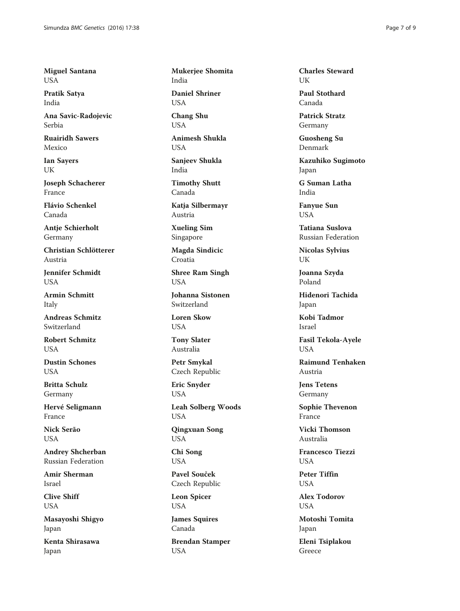Miguel Santana USA

Pratik Satya India

Ana Savic-Radojevic Serbia

Ruairidh Sawers Mexico

Ian Sayers UK

Joseph Schacherer France

Flávio Schenkel Canada

Antje Schierholt Germany

Christian Schlötterer Austria

Jennifer Schmidt **USA** 

Armin Schmitt Italy

Andreas Schmitz Switzerland

Robert Schmitz **USA** 

Dustin Schones **USA** 

Britta Schulz Germany

Hervé Seligmann France

Nick Serão USA

Andrey Shcherban Russian Federation

Amir Sherman Israel

Clive Shiff USA

Masayoshi Shigyo Japan

Kenta Shirasawa Japan

Mukerjee Shomita India

Daniel Shriner **USA** 

Chang Shu **USA** 

Animesh Shukla **USA** 

Sanjeev Shukla India

Timothy Shutt Canada

Katja Silbermayr Austria

Xueling Sim Singapore

Magda Sindicic Croatia

Shree Ram Singh USA

Johanna Sistonen Switzerland

Loren Skow **USA** 

Tony Slater Australia

Petr Smykal Czech Republic

Eric Snyder USA

Leah Solberg Woods USA

Qingxuan Song USA

Chi Song USA

Pavel Souček Czech Republic

Leon Spicer USA

James Squires Canada

Brendan Stamper USA

Charles Steward UK

Paul Stothard Canada

Patrick Stratz Germany

Guosheng Su Denmark

Kazuhiko Sugimoto Japan

G Suman Latha India

Fanyue Sun USA

Tatiana Suslova Russian Federation

Nicolas Sylvius UK

Joanna Szyda Poland

Hidenori Tachida Japan

Kobi Tadmor Israel

Fasil Tekola-Ayele USA

Raimund Tenhaken Austria

Jens Tetens Germany

Sophie Thevenon France

Vicki Thomson Australia

Francesco Tiezzi USA

Peter Tiffin **USA** 

Alex Todorov **USA** 

Motoshi Tomita Japan

Eleni Tsiplakou Greece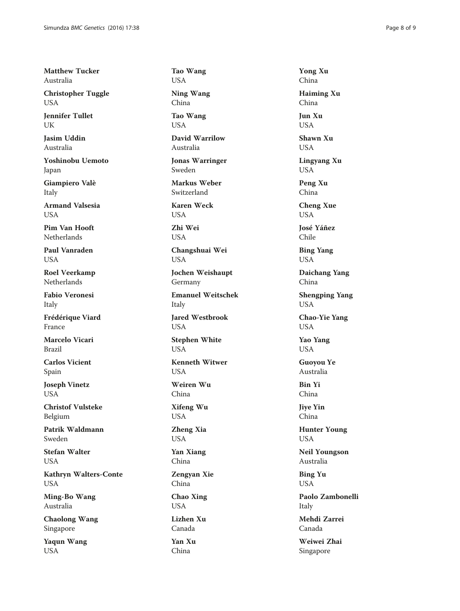Matthew Tucker Australia

Christopher Tuggle USA

Jennifer Tullet UK

Jasim Uddin Australia

Yoshinobu Uemoto Japan

Giampiero Valè Italy

Armand Valsesia **USA** 

Pim Van Hooft Netherlands

Paul Vanraden USA

Roel Veerkamp Netherlands

Fabio Veronesi Italy

Frédérique Viard France

Marcelo Vicari Brazil

Carlos Vicient Spain

Joseph Vinetz **USA** 

Christof Vulsteke Belgium

Patrik Waldmann Sweden

Stefan Walter **USA** 

Kathryn Walters-Conte USA

Ming-Bo Wang Australia

Chaolong Wang Singapore

Yaqun Wang USA

Tao Wang USA

Ning Wang China

Tao Wang **USA** 

David Warrilow Australia

Jonas Warringer Sweden

Markus Weber Switzerland

Karen Weck **USA** 

Zhi Wei USA

Changshuai Wei USA

Jochen Weishaupt Germany

Emanuel Weitschek Italy

Jared Westbrook **USA** 

Stephen White USA

Kenneth Witwer USA

Weiren Wu China

Xifeng Wu USA

Zheng Xia USA

Yan Xiang China

Zengyan Xie China

Chao Xing USA

Lizhen Xu Canada Yan Xu China

Yong Xu China Haiming Xu

China Jun Xu

**USA** 

Shawn Xu USA

Lingyang Xu USA

Peng Xu China

Cheng Xue USA

José Yáñez Chile

Bing Yang USA

Daichang Yang China

Shengping Yang USA

Chao-Yie Yang USA

Yao Yang USA

Guoyou Ye Australia

Bin Yi China

Jiye Yin China

Hunter Young USA

Neil Youngson Australia

Bing Yu **USA** 

Paolo Zambonelli Italy

Mehdi Zarrei Canada

Weiwei Zhai Singapore